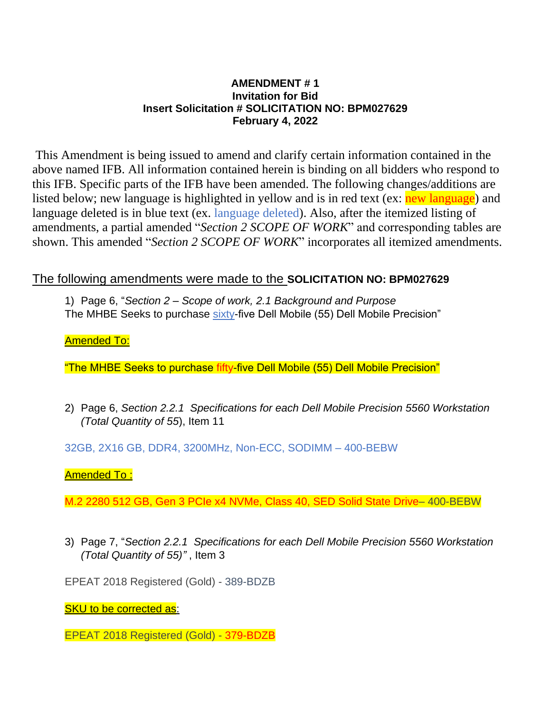## **AMENDMENT # 1 Invitation for Bid Insert Solicitation # SOLICITATION NO: BPM027629 February 4, 2022**

This Amendment is being issued to amend and clarify certain information contained in the above named IFB. All information contained herein is binding on all bidders who respond to this IFB. Specific parts of the IFB have been amended. The following changes/additions are listed below; new language is highlighted in yellow and is in red text (ex: new language) and language deleted is in blue text (ex. language deleted). Also, after the itemized listing of amendments, a partial amended "*Section 2 SCOPE OF WORK*" and corresponding tables are shown. This amended "*Section 2 SCOPE OF WORK*" incorporates all itemized amendments.

# The following amendments were made to the **SOLICITATION NO: BPM027629**

1) Page 6, "*Section 2 – Scope of work, 2.1 Background and Purpose* The MHBE Seeks to purchase sixty-five Dell Mobile (55) Dell Mobile Precision"

**Amended To:** 

"The MHBE Seeks to purchase fifty-five Dell Mobile (55) Dell Mobile Precision"

2) Page 6, *Section 2.2.1 Specifications for each Dell Mobile Precision 5560 Workstation (Total Quantity of 55*), Item 11

32GB, 2X16 GB, DDR4, 3200MHz, Non-ECC, SODIMM – 400-BEBW

Amended To :

M.2 2280 512 GB, Gen 3 PCIe x4 NVMe, Class 40, SED Solid State Drive– 400-BEBW

3) Page 7, "*Section 2.2.1 Specifications for each Dell Mobile Precision 5560 Workstation (Total Quantity of 55)"* , Item 3

EPEAT 2018 Registered (Gold) - 389-BDZB

**SKU to be corrected as:** 

EPEAT 2018 Registered (Gold) - 379-BDZB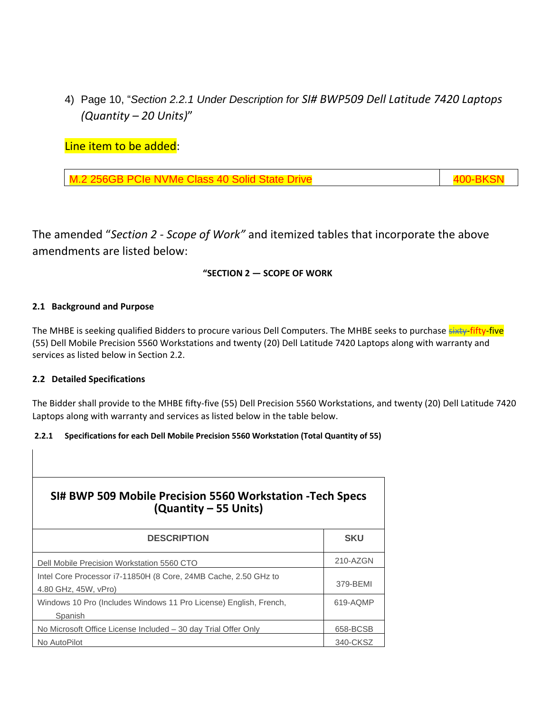4) Page 10, "*Section 2.2.1 Under Description for SI# BWP509 Dell Latitude 7420 Laptops (Quantity – 20 Units)*"

Line item to be added:

M.2 256GB PCIe NVMe Class 40 Solid State Drive 400 Annual 400-BKSN

The amended "*Section 2 - Scope of Work"* and itemized tables that incorporate the above amendments are listed below:

### **"SECTION 2 — SCOPE OF WORK**

#### **2.1 Background and Purpose**

The MHBE is seeking qualified Bidders to procure various Dell Computers. The MHBE seeks to purchase sixty-fifty-five (55) Dell Mobile Precision 5560 Workstations and twenty (20) Dell Latitude 7420 Laptops along with warranty and services as listed below in Section 2.2.

#### **2.2 Detailed Specifications**

The Bidder shall provide to the MHBE fifty-five (55) Dell Precision 5560 Workstations, and twenty (20) Dell Latitude 7420 Laptops along with warranty and services as listed below in the table below.

#### **2.2.1 Specifications for each Dell Mobile Precision 5560 Workstation (Total Quantity of 55)**

| SI# BWP 509 Mobile Precision 5560 Workstation - Tech Specs<br>(Quantity – 55 Units)     |            |
|-----------------------------------------------------------------------------------------|------------|
| <b>DESCRIPTION</b>                                                                      | <b>SKU</b> |
| Dell Mobile Precision Workstation 5560 CTO                                              | 210-AZGN   |
| Intel Core Processor i7-11850H (8 Core, 24MB Cache, 2.50 GHz to<br>4.80 GHz, 45W, vPro) | 379-BEMI   |
| Windows 10 Pro (Includes Windows 11 Pro License) English, French,<br>Spanish            | 619-AQMP   |
| No Microsoft Office License Included – 30 day Trial Offer Only                          | 658-BCSB   |
| No AutoPilot                                                                            | 340-CKSZ   |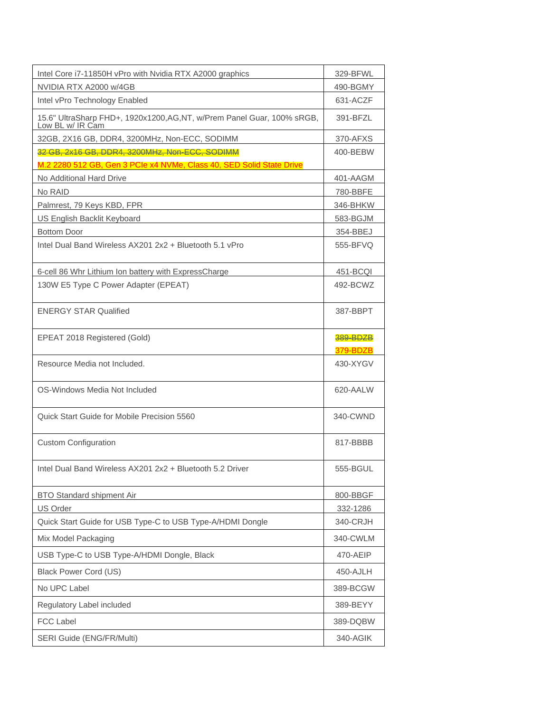| Intel Core i7-11850H vPro with Nvidia RTX A2000 graphics                                    | 329-BFWL             |
|---------------------------------------------------------------------------------------------|----------------------|
| NVIDIA RTX A2000 w/4GB                                                                      | 490-BGMY             |
| Intel vPro Technology Enabled                                                               | 631-ACZF             |
| 15.6" UltraSharp FHD+, 1920x1200, AG, NT, w/Prem Panel Guar, 100% sRGB,<br>Low BL w/ IR Cam | 391-BFZL             |
| 32GB, 2X16 GB, DDR4, 3200MHz, Non-ECC, SODIMM                                               | 370-AFXS             |
| 32 GB, 2x16 GB, DDR4, 3200MHz, Non-ECC, SODIMM                                              | 400-BEBW             |
| M.2 2280 512 GB, Gen 3 PCIe x4 NVMe, Class 40, SED Solid State Drive                        |                      |
| No Additional Hard Drive                                                                    | 401-AAGM             |
| No RAID                                                                                     | 780-BBFE             |
| Palmrest, 79 Keys KBD, FPR                                                                  | 346-BHKW             |
| US English Backlit Keyboard                                                                 | 583-BGJM             |
| <b>Bottom Door</b>                                                                          | 354-BBEJ             |
| Intel Dual Band Wireless AX201 2x2 + Bluetooth 5.1 vPro                                     | 555-BFVQ             |
| 6-cell 86 Whr Lithium Ion battery with ExpressCharge                                        | 451-BCQI             |
| 130W E5 Type C Power Adapter (EPEAT)                                                        | 492-BCWZ             |
| <b>ENERGY STAR Qualified</b>                                                                | 387-BBPT             |
| EPEAT 2018 Registered (Gold)                                                                | 389-BDZB<br>379-BDZB |
| Resource Media not Included.                                                                | 430-XYGV             |
| OS-Windows Media Not Included                                                               | 620-AALW             |
| Quick Start Guide for Mobile Precision 5560                                                 | 340-CWND             |
| <b>Custom Configuration</b>                                                                 | 817-BBBB             |
| Intel Dual Band Wireless AX201 2x2 + Bluetooth 5.2 Driver                                   | 555-BGUL             |
| <b>BTO Standard shipment Air</b>                                                            | 800-BBGF             |
| US Order                                                                                    | 332-1286             |
| Quick Start Guide for USB Type-C to USB Type-A/HDMI Dongle                                  | 340-CRJH             |
| Mix Model Packaging                                                                         | 340-CWLM             |
| USB Type-C to USB Type-A/HDMI Dongle, Black                                                 | 470-AEIP             |
| <b>Black Power Cord (US)</b>                                                                | 450-AJLH             |
| No UPC Label                                                                                | 389-BCGW             |
| Regulatory Label included                                                                   | 389-BEYY             |
| <b>FCC Label</b>                                                                            | 389-DQBW             |
| SERI Guide (ENG/FR/Multi)                                                                   | 340-AGIK             |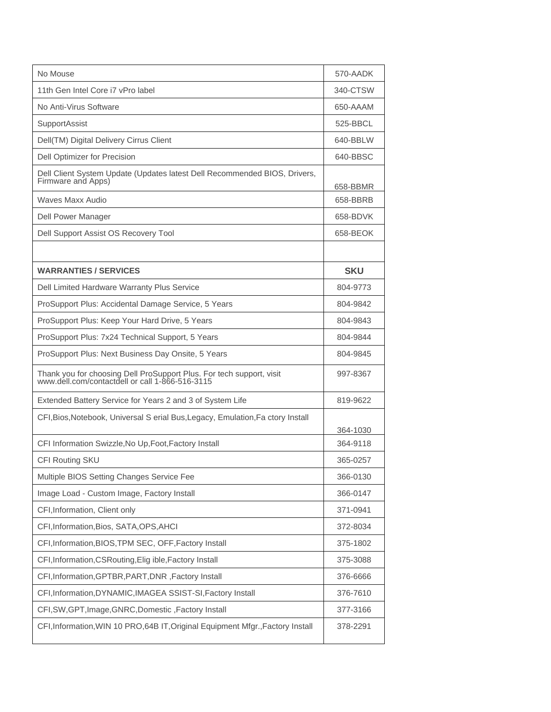| No Mouse                                                                                                             | 570-AADK   |
|----------------------------------------------------------------------------------------------------------------------|------------|
| 11th Gen Intel Core i7 vPro label                                                                                    | 340-CTSW   |
| No Anti-Virus Software                                                                                               | 650-AAAM   |
| SupportAssist                                                                                                        | 525-BBCL   |
| Dell(TM) Digital Delivery Cirrus Client                                                                              | 640-BBLW   |
| <b>Dell Optimizer for Precision</b>                                                                                  | 640-BBSC   |
| Dell Client System Update (Updates latest Dell Recommended BIOS, Drivers,<br>Firmware and Apps)                      | 658-BBMR   |
| Waves Maxx Audio                                                                                                     | 658-BBRB   |
| Dell Power Manager                                                                                                   | 658-BDVK   |
| Dell Support Assist OS Recovery Tool                                                                                 | 658-BEOK   |
|                                                                                                                      |            |
| <b>WARRANTIES / SERVICES</b>                                                                                         | <b>SKU</b> |
| Dell Limited Hardware Warranty Plus Service                                                                          | 804-9773   |
| ProSupport Plus: Accidental Damage Service, 5 Years                                                                  | 804-9842   |
| ProSupport Plus: Keep Your Hard Drive, 5 Years                                                                       | 804-9843   |
| ProSupport Plus: 7x24 Technical Support, 5 Years                                                                     | 804-9844   |
| ProSupport Plus: Next Business Day Onsite, 5 Years                                                                   | 804-9845   |
| Thank you for choosing Dell ProSupport Plus. For tech support, visit www.dell.com/contactdell or call 1-866-516-3115 | 997-8367   |
| Extended Battery Service for Years 2 and 3 of System Life                                                            | 819-9622   |
| CFI, Bios, Notebook, Universal S erial Bus, Legacy, Emulation, Fa ctory Install                                      | 364-1030   |
| CFI Information Swizzle, No Up, Foot, Factory Install                                                                | 364-9118   |
| CFI Routing SKU                                                                                                      | 365-0257   |
| Multiple BIOS Setting Changes Service Fee                                                                            | 366-0130   |
| Image Load - Custom Image, Factory Install                                                                           | 366-0147   |
| CFI, Information, Client only                                                                                        | 371-0941   |
| CFI, Information, Bios, SATA, OPS, AHCI                                                                              | 372-8034   |
| CFI, Information, BIOS, TPM SEC, OFF, Factory Install                                                                | 375-1802   |
| CFI, Information, CSR outing, Elig ible, Factory Install                                                             | 375-3088   |
| CFI, Information, GPTBR, PART, DNR, Factory Install                                                                  | 376-6666   |
| CFI, Information, DYNAMIC, IMAGEA SSIST-SI, Factory Install                                                          | 376-7610   |
| CFI, SW, GPT, Image, GNRC, Domestic, Factory Install                                                                 | 377-3166   |
| CFI, Information, WIN 10 PRO, 64B IT, Original Equipment Mfgr., Factory Install                                      | 378-2291   |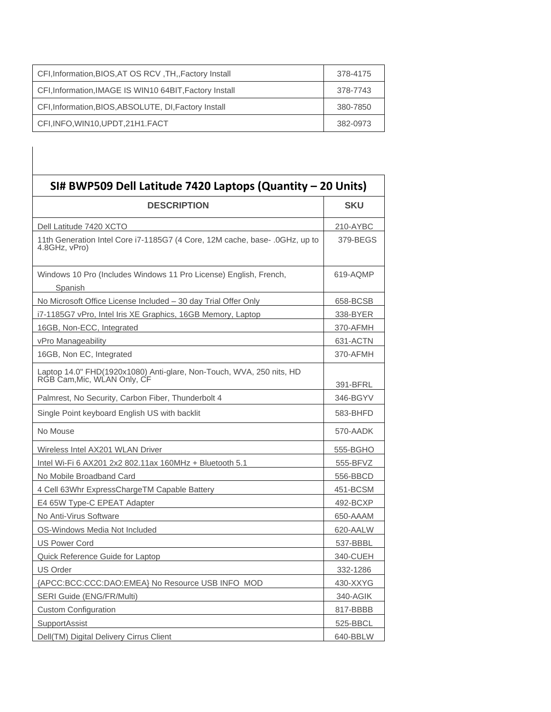| CFI, Information, BIOS, AT OS RCV, TH, Factory Install  | 378-4175 |
|---------------------------------------------------------|----------|
| CFI, Information, IMAGE IS WIN10 64BIT, Factory Install | 378-7743 |
| CFI, Information, BIOS, ABSOLUTE, DI, Factory Install   | 380-7850 |
| CFI, INFO, WIN10, UPDT, 21H1. FACT                      | 382-0973 |

| SI# BWP509 Dell Latitude 7420 Laptops (Quantity - 20 Units)                                         |            |
|-----------------------------------------------------------------------------------------------------|------------|
| <b>DESCRIPTION</b>                                                                                  | <b>SKU</b> |
| Dell Latitude 7420 XCTO                                                                             | 210-AYBC   |
| 11th Generation Intel Core i7-1185G7 (4 Core, 12M cache, base- .0GHz, up to<br>4.8GHz, vPro)        | 379-BEGS   |
| Windows 10 Pro (Includes Windows 11 Pro License) English, French,<br>Spanish                        | 619-AQMP   |
| No Microsoft Office License Included – 30 day Trial Offer Only                                      | 658-BCSB   |
| i7-1185G7 vPro, Intel Iris XE Graphics, 16GB Memory, Laptop                                         | 338-BYER   |
| 16GB, Non-ECC, Integrated                                                                           | 370-AFMH   |
| vPro Manageability                                                                                  | 631-ACTN   |
| 16GB, Non EC, Integrated                                                                            | 370-AFMH   |
| Laptop 14.0" FHD(1920x1080) Anti-glare, Non-Touch, WVA, 250 nits, HD<br>RGB Cam, Mic, WLAN Only, CF | 391-BFRL   |
| Palmrest, No Security, Carbon Fiber, Thunderbolt 4                                                  | 346-BGYV   |
| Single Point keyboard English US with backlit                                                       | 583-BHFD   |
| No Mouse                                                                                            | 570-AADK   |
| Wireless Intel AX201 WLAN Driver                                                                    | 555-BGHO   |
| Intel Wi-Fi 6 AX201 2x2 802.11ax 160MHz + Bluetooth 5.1                                             | 555-BFVZ   |
| No Mobile Broadband Card                                                                            | 556-BBCD   |
| 4 Cell 63Whr ExpressChargeTM Capable Battery                                                        | 451-BCSM   |
| E4 65W Type-C EPEAT Adapter                                                                         | 492-BCXP   |
| No Anti-Virus Software                                                                              | 650-AAAM   |
| OS-Windows Media Not Included                                                                       | 620-AALW   |
| <b>US Power Cord</b>                                                                                | 537-BBBL   |
| Quick Reference Guide for Laptop                                                                    | 340-CUEH   |
| US Order                                                                                            | 332-1286   |
| {APCC:BCC:CCC:DAO:EMEA} No Resource USB INFO MOD                                                    | 430-XXYG   |
| SERI Guide (ENG/FR/Multi)                                                                           | 340-AGIK   |
| <b>Custom Configuration</b>                                                                         | 817-BBBB   |
| SupportAssist                                                                                       | 525-BBCL   |
| Dell(TM) Digital Delivery Cirrus Client                                                             | 640-BBLW   |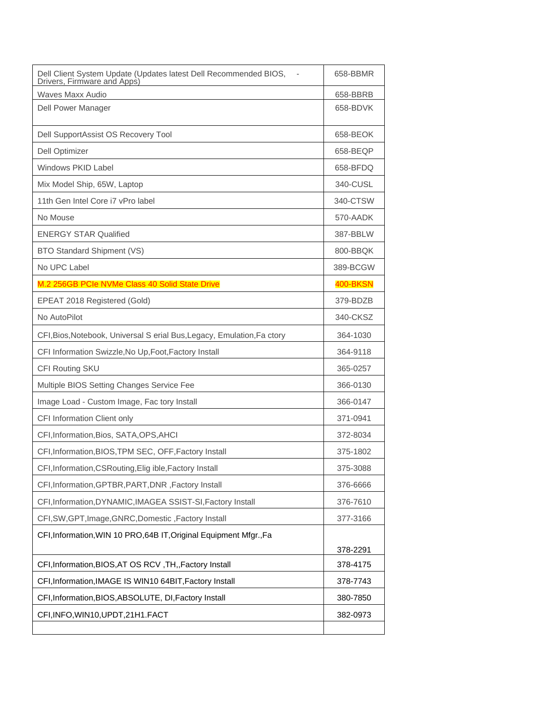| Dell Client System Update (Updates latest Dell Recommended BIOS,<br>Drivers, Firmware and Apps) | 658-BBMR        |
|-------------------------------------------------------------------------------------------------|-----------------|
| <b>Waves Maxx Audio</b>                                                                         | 658-BBRB        |
| Dell Power Manager                                                                              | 658-BDVK        |
| Dell SupportAssist OS Recovery Tool                                                             | 658-BEOK        |
| <b>Dell Optimizer</b>                                                                           | 658-BEQP        |
| Windows PKID Label                                                                              | 658-BFDQ        |
| Mix Model Ship, 65W, Laptop                                                                     | 340-CUSL        |
| 11th Gen Intel Core i7 vPro label                                                               | 340-CTSW        |
| No Mouse                                                                                        | 570-AADK        |
| <b>ENERGY STAR Qualified</b>                                                                    | 387-BBLW        |
| BTO Standard Shipment (VS)                                                                      | 800-BBQK        |
| No UPC Label                                                                                    | 389-BCGW        |
| M.2 256GB PCIe NVMe Class 40 Solid State Drive                                                  | <b>400-BKSN</b> |
| EPEAT 2018 Registered (Gold)                                                                    | 379-BDZB        |
| No AutoPilot                                                                                    | 340-CKSZ        |
| CFI, Bios, Notebook, Universal S erial Bus, Legacy, Emulation, Fa ctory                         | 364-1030        |
| CFI Information Swizzle, No Up, Foot, Factory Install                                           | 364-9118        |
| CFI Routing SKU                                                                                 | 365-0257        |
| Multiple BIOS Setting Changes Service Fee                                                       | 366-0130        |
| Image Load - Custom Image, Fac tory Install                                                     | 366-0147        |
| CFI Information Client only                                                                     | 371-0941        |
| CFI, Information, Bios, SATA, OPS, AHCI                                                         | 372-8034        |
| CFI, Information, BIOS, TPM SEC, OFF, Factory Install                                           | 375-1802        |
| CFI, Information, CSRouting, Elig ible, Factory Install                                         | 375-3088        |
| CFI, Information, GPTBR, PART, DNR, Factory Install                                             | 376-6666        |
| CFI, Information, DYNAMIC, IMAGEA SSIST-SI, Factory Install                                     | 376-7610        |
| CFI, SW, GPT, Image, GNRC, Domestic, Factory Install                                            | 377-3166        |
| CFI, Information, WIN 10 PRO, 64B IT, Original Equipment Mfgr., Fa                              |                 |
|                                                                                                 | 378-2291        |
| CFI, Information, BIOS, AT OS RCV, TH, Factory Install                                          | 378-4175        |
| CFI, Information, IMAGE IS WIN10 64BIT, Factory Install                                         | 378-7743        |
| CFI, Information, BIOS, ABSOLUTE, DI, Factory Install                                           | 380-7850        |
| CFI, INFO, WIN10, UPDT, 21H1. FACT                                                              | 382-0973        |
|                                                                                                 |                 |